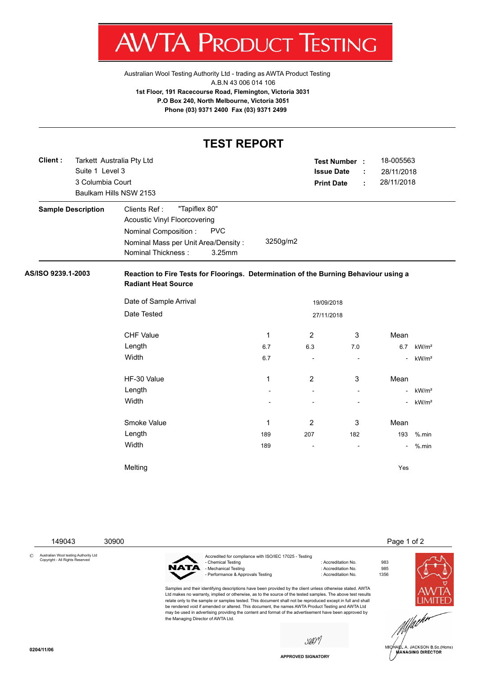V IA ľ 'ROI К ESTING

[Australian Wool Testing Authority Ltd - trading as AWTA Product Testing](http://www.awtaproducttesting.com.au/) A.B.N 43 006 014 106 **1st Floor, 191 Racecourse Road, Flemington, Victoria 3031 P.O Box 240, North Melbourne, Victoria 3051 Phone (03) 9371 2400 Fax (03) 9371 2499**

|                           |                           | <b>TEST REPORT</b>                                                                                                 |              |                      |        |                |                   |  |  |
|---------------------------|---------------------------|--------------------------------------------------------------------------------------------------------------------|--------------|----------------------|--------|----------------|-------------------|--|--|
| Client:                   | Tarkett Australia Pty Ltd |                                                                                                                    |              | <b>Test Number :</b> |        | 18-005563      |                   |  |  |
|                           | Suite 1 Level 3           | <b>Issue Date</b>                                                                                                  | ÷            | 28/11/2018           |        |                |                   |  |  |
|                           | 3 Columbia Court          | <b>Print Date</b>                                                                                                  | ÷            | 28/11/2018           |        |                |                   |  |  |
|                           |                           | Baulkam Hills NSW 2153                                                                                             |              |                      |        |                |                   |  |  |
| <b>Sample Description</b> |                           | "Tapiflex 80"<br>Clients Ref:<br><b>Acoustic Vinyl Floorcovering</b>                                               |              |                      |        |                |                   |  |  |
|                           |                           | <b>PVC</b><br>Nominal Composition :<br>Nominal Mass per Unit Area/Density:<br>3.25mm<br>Nominal Thickness:         | 3250g/m2     |                      |        |                |                   |  |  |
| AS/ISO 9239.1-2003        |                           | Reaction to Fire Tests for Floorings. Determination of the Burning Behaviour using a<br><b>Radiant Heat Source</b> |              |                      |        |                |                   |  |  |
|                           |                           | Date of Sample Arrival                                                                                             |              | 19/09/2018           |        |                |                   |  |  |
|                           |                           | Date Tested                                                                                                        |              | 27/11/2018           |        |                |                   |  |  |
|                           |                           | <b>CHF Value</b>                                                                                                   | $\mathbf{1}$ | 2                    | 3      | Mean           |                   |  |  |
|                           |                           | Length                                                                                                             | 6.7          | 6.3                  | 7.0    | 6.7            | kW/m <sup>2</sup> |  |  |
|                           |                           | Width                                                                                                              | 6.7          | ÷,                   | $\sim$ |                | kW/m <sup>2</sup> |  |  |
|                           |                           | HF-30 Value                                                                                                        | $\mathbf{1}$ | $\overline{2}$       | 3      | Mean           |                   |  |  |
|                           |                           | Length                                                                                                             |              |                      |        |                | kW/m <sup>2</sup> |  |  |
|                           |                           | Width                                                                                                              |              |                      |        |                | kW/m <sup>2</sup> |  |  |
|                           |                           | Smoke Value                                                                                                        | 1            | 2                    | 3      | Mean           |                   |  |  |
|                           |                           | Length                                                                                                             | 189          | 207<br>182           |        | 193            | $%$ .min          |  |  |
|                           |                           | Width                                                                                                              | 189          | $\blacksquare$       |        | $\blacksquare$ | %.min             |  |  |
|                           |                           |                                                                                                                    |              |                      |        |                |                   |  |  |



**APPROVED SIGNATORY**